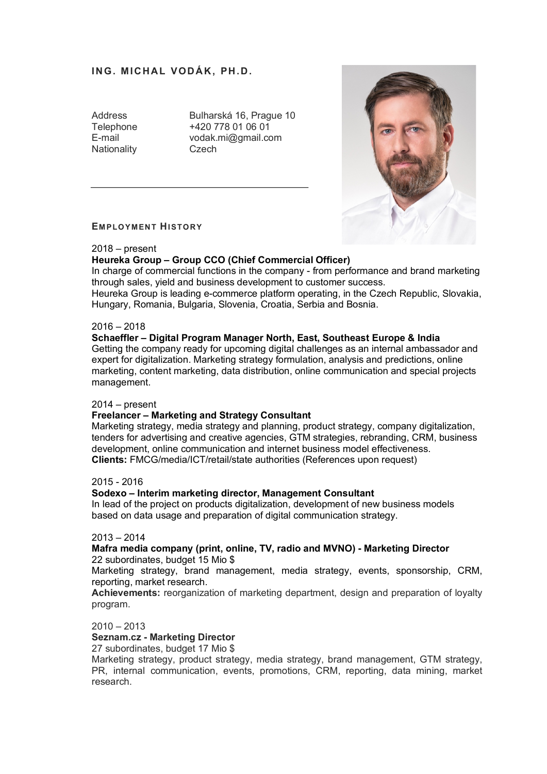# **ING. MICHAL VODÁK, PH.D.**

Nationality Czech

Address Bulharská 16, Prague 10 Telephone +420 778 01 06 01 E-mail vodak.mi@gmail.com



### **EMPLOYMENT HISTORY**

2018 – present

## **Heureka Group – Group CCO (Chief Commercial Officer)**

In charge of commercial functions in the company - from performance and brand marketing through sales, yield and business development to customer success.

Heureka Group is leading e-commerce platform operating, in the Czech Republic, Slovakia, Hungary, Romania, Bulgaria, Slovenia, Croatia, Serbia and Bosnia.

## $2016 - 2018$

## **Schaeffler – Digital Program Manager North, East, Southeast Europe & India**

Getting the company ready for upcoming digital challenges as an internal ambassador and expert for digitalization. Marketing strategy formulation, analysis and predictions, online marketing, content marketing, data distribution, online communication and special projects management.

### 2014 – present

## **Freelancer – Marketing and Strategy Consultant**

Marketing strategy, media strategy and planning, product strategy, company digitalization, tenders for advertising and creative agencies, GTM strategies, rebranding, CRM, business development, online communication and internet business model effectiveness. **Clients:** FMCG/media/ICT/retail/state authorities (References upon request)

### 2015 - 2016

## **Sodexo – Interim marketing director, Management Consultant**

In lead of the project on products digitalization, development of new business models based on data usage and preparation of digital communication strategy.

## 2013 – 2014

## **Mafra media company (print, online, TV, radio and MVNO) - Marketing Director** 22 subordinates, budget 15 Mio \$

Marketing strategy, brand management, media strategy, events, sponsorship, CRM, reporting, market research.

**Achievements:** reorganization of marketing department, design and preparation of loyalty program.

### $2010 - 2013$

### **Seznam.cz - Marketing Director**

27 subordinates, budget 17 Mio \$

Marketing strategy, product strategy, media strategy, brand management, GTM strategy, PR, internal communication, events, promotions, CRM, reporting, data mining, market research.